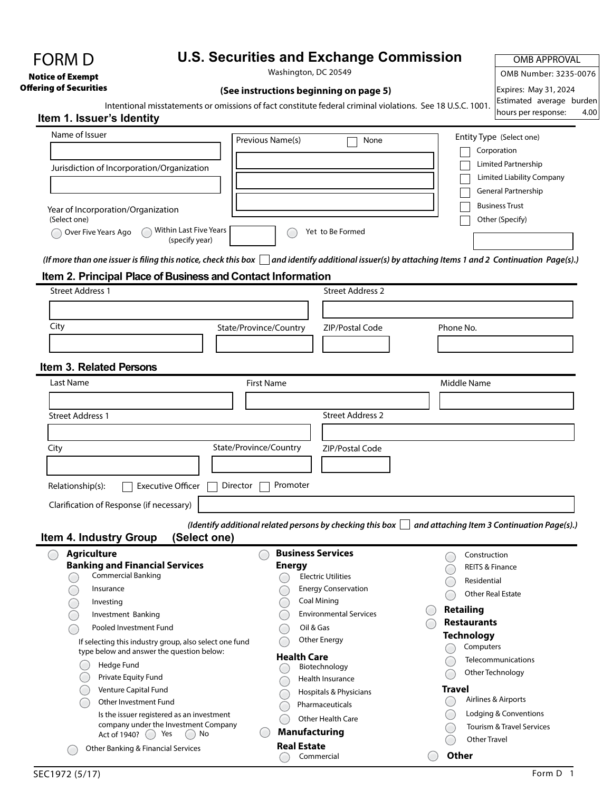| וטכוכנג טוו |
|-------------|
| Over        |

FORM D Notice of Exempt Offering of Securities

# **U.S. Securities and Exchange Commission**

Washington, DC 20549 **(See instructions beginning on page 5)** OMB APPROVAL

OMB Number: 3235-0076 Expires: May 31, 2024

Estimated average burden

Corporation

 $\Box$  $\sim$ 

 $\mathbf{L}$ 

Other (Specify) Business Trust General Partnership Limited Liability Company Limited Partnership

Phone No.

hours per response: 4.00

#### Intentional misstatements or omissions of fact constitute federal criminal violations. See 18 U.S.C. 1001. **Item 1. Issuer's Identity** Name of Issuer **Previous Name(s)** None Entity Type (Select one) Jurisdiction of Incorporation/Organization Year of Incorporation/Organization (Select one) Five Years Ago  $\bigcirc$  Within Last Five Years ∩ Yet to Be Formed (specify year) *(If more than one issuer is filing this notice, check this box*  $\Box$  *and identify additional issuer(s) by attaching Items 1 and 2 Continuation Page(s).)* **Item 2. Principal Place of Business and Contact Information** Street Address 1 Street Address 2 City State/Province/Country ZIP/Postal Code **Item 3. Related Persons**  Last Name First Name **Middle Name** Middle Name Street Address 1 Street Address 2 City State/Province/Country ZIP/Postal Code  $\Box$  Executive Officer  $\Box$  Director  $\Box$  Promoter Relationship(s): Clarification of Response (if necessary) **Item 4. Industry Group (Select one) Agriculture Business Services Banking and Financial Services Energy** Commercial Banking Electric Utilities Insurance Energy Conservation Investing Coal Mining Investment Banking Environmental Services Pooled Investment Fund Oil & Gas Other Energy If selecting this industry group, also select one fund

*(Identify additional related persons by checking this box and attaching Item 3 Continuation Page(s).)*

|  | <b>Agriculture</b>                                     | <b>Business Services</b>      | Construction               |
|--|--------------------------------------------------------|-------------------------------|----------------------------|
|  | <b>Banking and Financial Services</b>                  | <b>Energy</b>                 | <b>REITS &amp; Finance</b> |
|  | <b>Commercial Banking</b>                              | <b>Electric Utilities</b>     | Residential                |
|  | Insurance                                              | <b>Energy Conservation</b>    | Other Real Estate          |
|  | Investing                                              | Coal Mining                   |                            |
|  | Investment Banking                                     | <b>Environmental Services</b> | <b>Retailing</b>           |
|  | Pooled Investment Fund                                 | Oil & Gas                     | <b>Restaurants</b>         |
|  | If selecting this industry group, also select one fund | Other Energy                  | <b>Technology</b>          |
|  | type below and answer the question below:              | <b>Health Care</b>            | Computers                  |
|  | Hedge Fund                                             | Biotechnology                 | Telecommunications         |
|  | Private Equity Fund                                    | Health Insurance              | Other Technology           |
|  | Venture Capital Fund                                   | Hospitals & Physicians        | <b>Travel</b>              |
|  | Other Investment Fund                                  | Pharmaceuticals               | Airlines & Airports        |
|  | Is the issuer registered as an investment              | Other Health Care             | Lodging & Conventions      |
|  | company under the Investment Company                   |                               | Tourism & Travel Services  |
|  | No<br>Yes<br>Act of 1940?                              | <b>Manufacturing</b>          | <b>Other Travel</b>        |
|  | Other Banking & Financial Services                     | <b>Real Estate</b>            |                            |
|  |                                                        | Commercial                    | Other                      |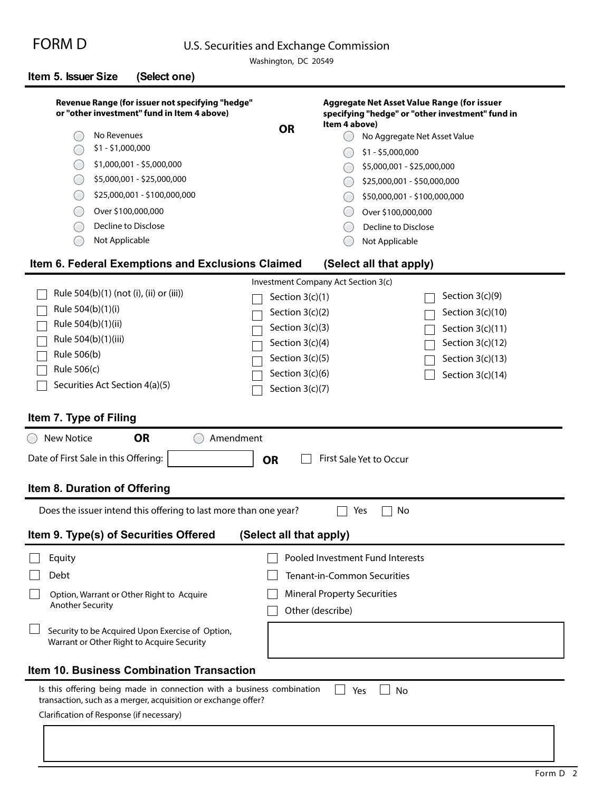$\overline{\phantom{0}}$ 

Washington, DC 20549

## **Item 5. Issuer Size (Select one)**

| Revenue Range (for issuer not specifying "hedge"<br>or "other investment" fund in Item 4 above) | Aggregate Net Asset Value Range (for issuer<br>specifying "hedge" or "other investment" fund in |
|-------------------------------------------------------------------------------------------------|-------------------------------------------------------------------------------------------------|
|                                                                                                 | Item 4 above)<br><b>OR</b>                                                                      |
| No Revenues<br>$$1 - $1,000,000$                                                                | 0<br>No Aggregate Net Asset Value                                                               |
| \$1,000,001 - \$5,000,000                                                                       | $$1 - $5,000,000$                                                                               |
| \$5,000,001 - \$25,000,000                                                                      | \$5,000,001 - \$25,000,000                                                                      |
| \$25,000,001 - \$100,000,000                                                                    | \$25,000,001 - \$50,000,000<br>\$50,000,001 - \$100,000,000                                     |
| Over \$100,000,000                                                                              |                                                                                                 |
| Decline to Disclose                                                                             | Over \$100,000,000                                                                              |
| Not Applicable                                                                                  | Decline to Disclose<br>Not Applicable                                                           |
|                                                                                                 |                                                                                                 |
| Item 6. Federal Exemptions and Exclusions Claimed                                               | (Select all that apply)<br>Investment Company Act Section 3(c)                                  |
| Rule 504(b)(1) (not (i), (ii) or (iii))                                                         | Section 3(c)(9)<br>Section 3(c)(1)                                                              |
| Rule 504(b)(1)(i)                                                                               |                                                                                                 |
| Rule 504(b)(1)(ii)                                                                              | Section $3(c)(2)$<br>Section 3(c)(10)                                                           |
| Rule 504(b)(1)(iii)                                                                             | Section $3(c)(3)$<br>Section 3(c)(11)                                                           |
| Rule 506(b)                                                                                     | Section 3(c)(12)<br>Section 3(c)(4)                                                             |
| Rule 506(c)                                                                                     | Section 3(c)(5)<br>Section $3(c)(13)$                                                           |
| Securities Act Section 4(a)(5)                                                                  | Section 3(c)(6)<br>Section 3(c)(14)                                                             |
|                                                                                                 | Section 3(c)(7)                                                                                 |
| Item 7. Type of Filing                                                                          |                                                                                                 |
| <b>OR</b><br><b>New Notice</b><br>Amendment                                                     |                                                                                                 |
|                                                                                                 |                                                                                                 |
| Date of First Sale in this Offering:                                                            | First Sale Yet to Occur<br><b>OR</b>                                                            |
|                                                                                                 |                                                                                                 |
| Item 8. Duration of Offering                                                                    |                                                                                                 |
| Does the issuer intend this offering to last more than one year?                                | Yes<br>No                                                                                       |
| Item 9. Type(s) of Securities Offered                                                           | (Select all that apply)                                                                         |
| Equity                                                                                          | Pooled Investment Fund Interests                                                                |
| Debt                                                                                            | <b>Tenant-in-Common Securities</b>                                                              |
|                                                                                                 | <b>Mineral Property Securities</b>                                                              |
| Option, Warrant or Other Right to Acquire<br><b>Another Security</b>                            |                                                                                                 |
|                                                                                                 | Other (describe)                                                                                |
| Security to be Acquired Upon Exercise of Option,<br>Warrant or Other Right to Acquire Security  |                                                                                                 |
|                                                                                                 |                                                                                                 |
| Item 10. Business Combination Transaction                                                       |                                                                                                 |
| Is this offering being made in connection with a business combination                           | No<br>Yes                                                                                       |
| transaction, such as a merger, acquisition or exchange offer?                                   |                                                                                                 |
| Clarification of Response (if necessary)                                                        |                                                                                                 |
|                                                                                                 |                                                                                                 |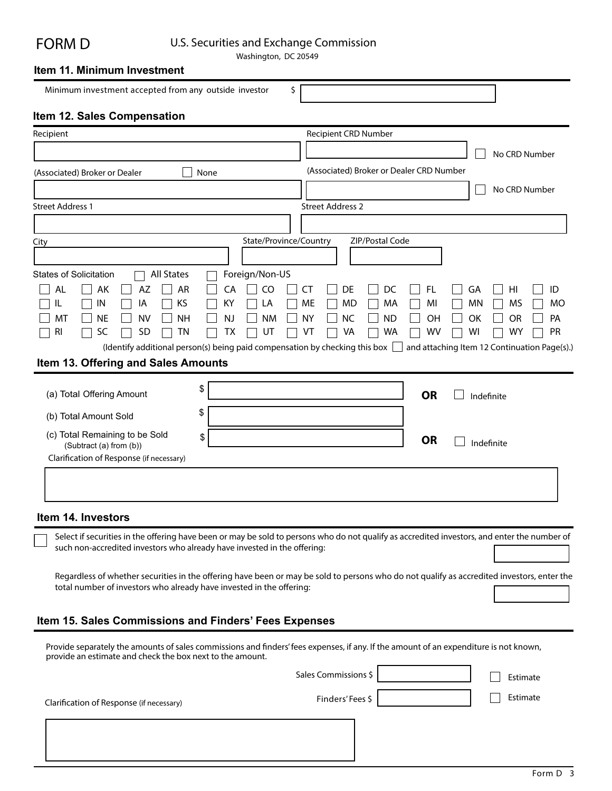# FORM D

#### U.S. Securities and Exchange Commission

Washington, DC 20549

#### **Item 11. Minimum Investment**

Minimum investment accepted from any outside investor \$

| Recipient                                                                   | <b>Recipient CRD Number</b>                                 |
|-----------------------------------------------------------------------------|-------------------------------------------------------------|
|                                                                             | No CRD Number                                               |
| (Associated) Broker or Dealer<br>None                                       | (Associated) Broker or Dealer CRD Number                    |
|                                                                             | No CRD Number                                               |
| <b>Street Address 1</b>                                                     | <b>Street Address 2</b>                                     |
|                                                                             |                                                             |
| State/Province/Country<br>City                                              | ZIP/Postal Code                                             |
|                                                                             |                                                             |
| <b>All States</b><br>Foreign/Non-US<br><b>States of Solicitation</b>        |                                                             |
| AZ<br><b>AR</b><br>CA<br>C <sub>O</sub><br>AK<br>AL                         | DE<br>DC<br>FL<br>GA<br>ID<br>HI<br>СT                      |
| IA<br>KS<br>IN<br>ΚY<br>LA                                                  | ME<br>MA<br>MI<br>MN<br>MS<br>MD<br>МO                      |
| <b>NV</b><br>MT<br><b>NE</b><br><b>NH</b><br><b>NJ</b><br><b>NM</b>         | <b>NY</b><br><b>ND</b><br><b>NC</b><br>OH<br>OK<br>OR<br>PA |
| <b>SD</b><br>RI<br>SC<br>TN<br>ТX<br>UT                                     | VA<br><b>WA</b><br>WV<br>WI<br>WY<br><b>PR</b><br>VT        |
| (Identify additional person(s) being paid compensation by checking this box | and attaching Item 12 Continuation Page(s).)                |
| Item 13. Offering and Sales Amounts                                         |                                                             |
| \$<br>(a) Total Offering Amount                                             | <b>OR</b><br>Indefinite                                     |
|                                                                             |                                                             |
| \$<br>(b) Total Amount Sold                                                 |                                                             |
| (c) Total Remaining to be Sold<br>\$<br>(Subtract (a) from (b))             | <b>OR</b><br>Indefinite                                     |
| Clarification of Response (if necessary)                                    |                                                             |

#### **Item 14. Investors**

Select if securities in the offering have been or may be sold to persons who do not qualify as accredited investors, and enter the number of such non-accredited investors who already have invested in the offering:

Regardless of whether securities in the offering have been or may be sold to persons who do not qualify as accredited investors, enter the total number of investors who already have invested in the offering:

#### **Item 15. Sales Commissions and Finders' Fees Expenses**

Provide separately the amounts of sales commissions and finders' fees expenses, if any. If the amount of an expenditure is not known, provide an estimate and check the box next to the amount.

|                                          | Sales Commissions \$ | Estimate |
|------------------------------------------|----------------------|----------|
| Clarification of Response (if necessary) | Finders' Fees \$     | Estimate |
|                                          |                      |          |
|                                          |                      |          |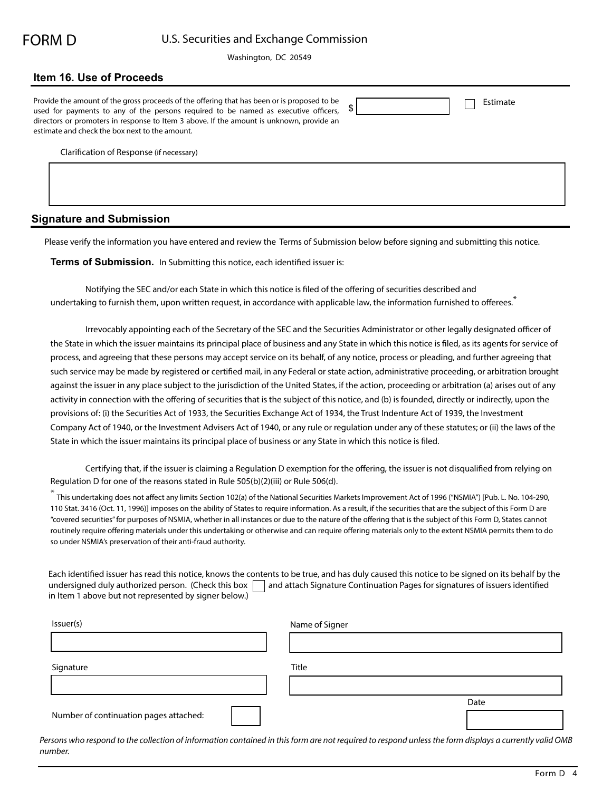# FORM D

#### U.S. Securities and Exchange Commission

Washington, DC 20549

#### **Item 16. Use of Proceeds**

Provide the amount of the gross proceeds of the offering that has been or is proposed to be used for payments to any of the persons required to be named as executive officers, directors or promoters in response to Item 3 above. If the amount is unknown, provide an estimate and check the box next to the amount.

\$

Clarification of Response (if necessary)

#### **Signature and Submission**

Please verify the information you have entered and review the Terms of Submission below before signing and submitting this notice.

**Terms of Submission.** In Submitting this notice, each identified issuer is:

Notifying the SEC and/or each State in which this notice is filed of the offering of securities described and undertaking to furnish them, upon written request, in accordance with applicable law, the information furnished to offerees.<sup>\*</sup>

Irrevocably appointing each of the Secretary of the SEC and the Securities Administrator or other legally designated officer of the State in which the issuer maintains its principal place of business and any State in which this notice is filed, as its agents for service of process, and agreeing that these persons may accept service on its behalf, of any notice, process or pleading, and further agreeing that such service may be made by registered or certified mail, in any Federal or state action, administrative proceeding, or arbitration brought against the issuer in any place subject to the jurisdiction of the United States, if the action, proceeding or arbitration (a) arises out of any activity in connection with the offering of securities that is the subject of this notice, and (b) is founded, directly or indirectly, upon the provisions of: (i) the Securities Act of 1933, the Securities Exchange Act of 1934, the Trust Indenture Act of 1939, the Investment Company Act of 1940, or the Investment Advisers Act of 1940, or any rule or regulation under any of these statutes; or (ii) the laws of the State in which the issuer maintains its principal place of business or any State in which this notice is filed.

Certifying that, if the issuer is claiming a Regulation D exemption for the offering, the issuer is not disqualified from relying on Regulation D for one of the reasons stated in Rule 505(b)(2)(iii) or Rule 506(d).

\* This undertaking does not affect any limits Section 102(a) of the National Securities Markets Improvement Act of 1996 ("NSMIA") [Pub. L. No. 104-290, 110 Stat. 3416 (Oct. 11, 1996)] imposes on the ability of States to require information. As a result, if the securities that are the subject of this Form D are "covered securities" for purposes of NSMIA, whether in all instances or due to the nature of the offering that is the subject of this Form D, States cannot routinely require offering materials under this undertaking or otherwise and can require offering materials only to the extent NSMIA permits them to do so under NSMIA's preservation of their anti-fraud authority.

Each identified issuer has read this notice, knows the contents to be true, and has duly caused this notice to be signed on its behalf by the undersigned duly authorized person. (Check this box  $\Box$  and attach Signature Continuation Pages for signatures of issuers identified in Item 1 above but not represented by signer below.)

| Issuer(s)                              | Name of Signer |      |
|----------------------------------------|----------------|------|
|                                        |                |      |
| Signature                              | Title          |      |
|                                        |                |      |
|                                        |                | Date |
| Number of continuation pages attached: |                |      |

*Persons who respond to the collection of information contained in this form are not required to respond unless the form displays a currently valid OMB number.*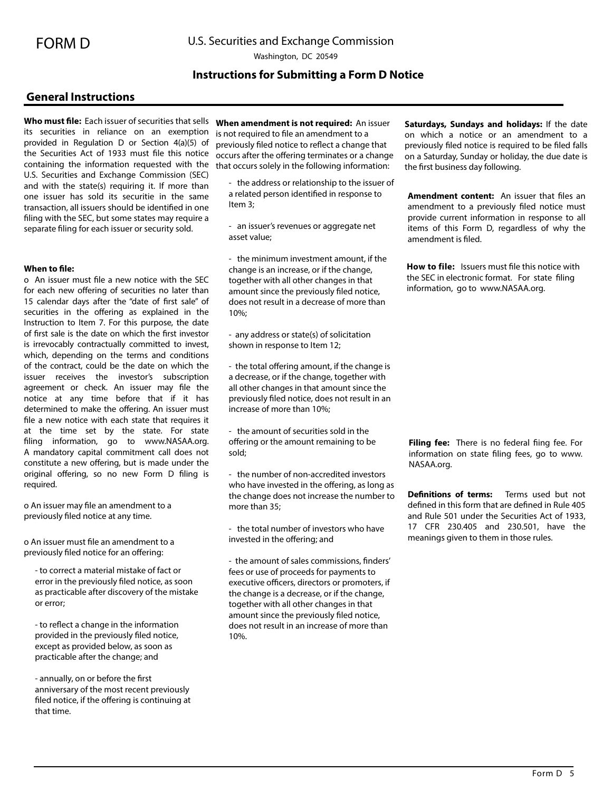Washington, DC 20549

### **Instructions for Submitting a Form D Notice**

#### **General Instructions**

**Who must file:** Each issuer of securities that sells **When amendment is not required:** An issuer its securities in reliance on an exemption provided in Regulation D or Section 4(a)(5) of the Securities Act of 1933 must file this notice containing the information requested with the U.S. Securities and Exchange Commission (SEC) and with the state(s) requiring it. If more than one issuer has sold its securitie in the same transaction, all issuers should be identified in one filing with the SEC, but some states may require a separate filing for each issuer or security sold.

#### **When to file:**

o An issuer must file a new notice with the SEC for each new offering of securities no later than 15 calendar days after the "date of first sale" of securities in the offering as explained in the Instruction to Item 7. For this purpose, the date of first sale is the date on which the first investor is irrevocably contractually committed to invest, which, depending on the terms and conditions of the contract, could be the date on which the issuer receives the investor's subscription agreement or check. An issuer may file the notice at any time before that if it has determined to make the offering. An issuer must file a new notice with each state that requires it at the time set by the state. For state filing information, go to [www.NASAA.org.](http://www.NASAA.org/)  A mandatory capital commitment call does not constitute a new offering, but is made under the original offering, so no new Form D filing is required.

o An issuer may file an amendment to a previously filed notice at any time.

o An issuer must file an amendment to a previously filed notice for an offering:

- to correct a material mistake of fact or error in the previously filed notice, as soon as practicable after discovery of the mistake or error;

- to reflect a change in the information provided in the previously filed notice, except as provided below, as soon as practicable after the change; and

- annually, on or before the first anniversary of the most recent previously filed notice, if the offering is continuing at that time.

is not required to file an amendment to a previously filed notice to reflect a change that occurs after the offering terminates or a change that occurs solely in the following information:

- the address or relationship to the issuer of a related person identified in response to Item 3;

- an issuer's revenues or aggregate net asset value;

- the minimum investment amount, if the change is an increase, or if the change, together with all other changes in that amount since the previously filed notice, does not result in a decrease of more than 10%;

- any address or state(s) of solicitation shown in response to Item 12;

- the total offering amount, if the change is a decrease, or if the change, together with all other changes in that amount since the previously filed notice, does not result in an increase of more than 10%;

- the amount of securities sold in the offering or the amount remaining to be sold;

- the number of non-accredited investors who have invested in the offering, as long as the change does not increase the number to more than 35;

- the total number of investors who have invested in the offering; and

- the amount of sales commissions, finders' fees or use of proceeds for payments to executive officers, directors or promoters, if the change is a decrease, or if the change, together with all other changes in that amount since the previously filed notice, does not result in an increase of more than 10%.

**Saturdays, Sundays and holidays:** If the date on which a notice or an amendment to a previously filed notice is required to be filed falls on a Saturday, Sunday or holiday, the due date is the first business day following.

**Amendment content:** An issuer that files an amendment to a previously filed notice must provide current information in response to all items of this Form D, regardless of why the amendment is filed.

**How to file:** Issuers must file this notice with the SEC in electronic format. For state filing information, [go to www.NASAA.org.](http://www.NASAA.org/)

**Filing fee:** There is no federal fiing fee. For information on state filing fees, go to [www.](http://www/) NASAA.org.

**Definitions of terms:** Terms used but not defined in this form that are defined in Rule 405 and Rule 501 under the Securities Act of 1933, 17 CFR 230.405 and 230.501, have the meanings given to them in those rules.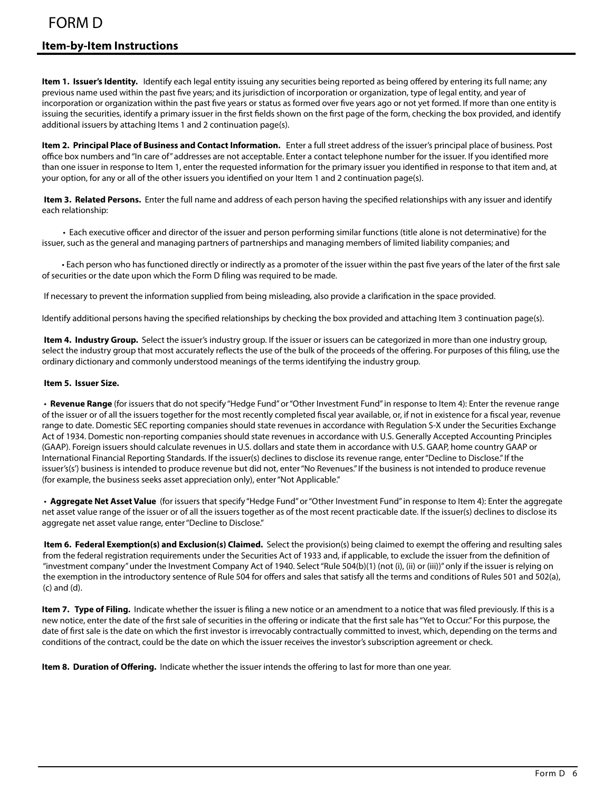#### **Item-by-Item Instructions**

**Item 1. Issuer's Identity.** Identify each legal entity issuing any securities being reported as being offered by entering its full name; any previous name used within the past five years; and its jurisdiction of incorporation or organization, type of legal entity, and year of incorporation or organization within the past five years or status as formed over five years ago or not yet formed. If more than one entity is issuing the securities, identify a primary issuer in the first fields shown on the first page of the form, checking the box provided, and identify additional issuers by attaching Items 1 and 2 continuation page(s).

**Item 2. Principal Place of Business and Contact Information.** Enter a full street address of the issuer's principal place of business. Post office box numbers and "In care of" addresses are not acceptable. Enter a contact telephone number for the issuer. If you identified more than one issuer in response to Item 1, enter the requested information for the primary issuer you identified in response to that item and, at your option, for any or all of the other issuers you identified on your Item 1 and 2 continuation page(s).

**Item 3. Related Persons.** Enter the full name and address of each person having the specified relationships with any issuer and identify each relationship:

• Each executive officer and director of the issuer and person performing similar functions (title alone is not determinative) for the issuer, such as the general and managing partners of partnerships and managing members of limited liability companies; and

• Each person who has functioned directly or indirectly as a promoter of the issuer within the past five years of the later of the first sale of securities or the date upon which the Form D filing was required to be made.

If necessary to prevent the information supplied from being misleading, also provide a clarification in the space provided.

Identify additional persons having the specified relationships by checking the box provided and attaching Item 3 continuation page(s).

**Item 4. Industry Group.** Select the issuer's industry group. If the issuer or issuers can be categorized in more than one industry group, select the industry group that most accurately reflects the use of the bulk of the proceeds of the offering. For purposes of this filing, use the ordinary dictionary and commonly understood meanings of the terms identifying the industry group.

#### **Item 5. Issuer Size.**

• **Revenue Range** (for issuers that do not specify "Hedge Fund" or "Other Investment Fund" in response to Item 4): Enter the revenue range of the issuer or of all the issuers together for the most recently completed fiscal year available, or, if not in existence for a fiscal year, revenue range to date. Domestic SEC reporting companies should state revenues in accordance with Regulation S-X under the Securities Exchange Act of 1934. Domestic non-reporting companies should state revenues in accordance with U.S. Generally Accepted Accounting Principles (GAAP). Foreign issuers should calculate revenues in U.S. dollars and state them in accordance with U.S. GAAP, home country GAAP or International Financial Reporting Standards. If the issuer(s) declines to disclose its revenue range, enter "Decline to Disclose." If the issuer's(s') business is intended to produce revenue but did not, enter "No Revenues." If the business is not intended to produce revenue (for example, the business seeks asset appreciation only), enter "Not Applicable."

• **Aggregate Net Asset Value** (for issuers that specify "Hedge Fund" or "Other Investment Fund" in response to Item 4): Enter the aggregate net asset value range of the issuer or of all the issuers together as of the most recent practicable date. If the issuer(s) declines to disclose its aggregate net asset value range, enter "Decline to Disclose."

**Item 6. Federal Exemption(s) and Exclusion(s) Claimed.** Select the provision(s) being claimed to exempt the offering and resulting sales from the federal registration requirements under the Securities Act of 1933 and, if applicable, to exclude the issuer from the definition of "investment company" under the Investment Company Act of 1940. Select "Rule 504(b)(1) (not (i), (ii) or (iii))" only if the issuer is relying on the exemption in the introductory sentence of Rule 504 for offers and sales that satisfy all the terms and conditions of Rules 501 and 502(a), (c) and (d).

**Item 7. Type of Filing.** Indicate whether the issuer is filing a new notice or an amendment to a notice that was filed previously. If this is a new notice, enter the date of the first sale of securities in the offering or indicate that the first sale has "Yet to Occur." For this purpose, the date of first sale is the date on which the first investor is irrevocably contractually committed to invest, which, depending on the terms and conditions of the contract, could be the date on which the issuer receives the investor's subscription agreement or check.

**Item 8. Duration of Offering.** Indicate whether the issuer intends the offering to last for more than one year.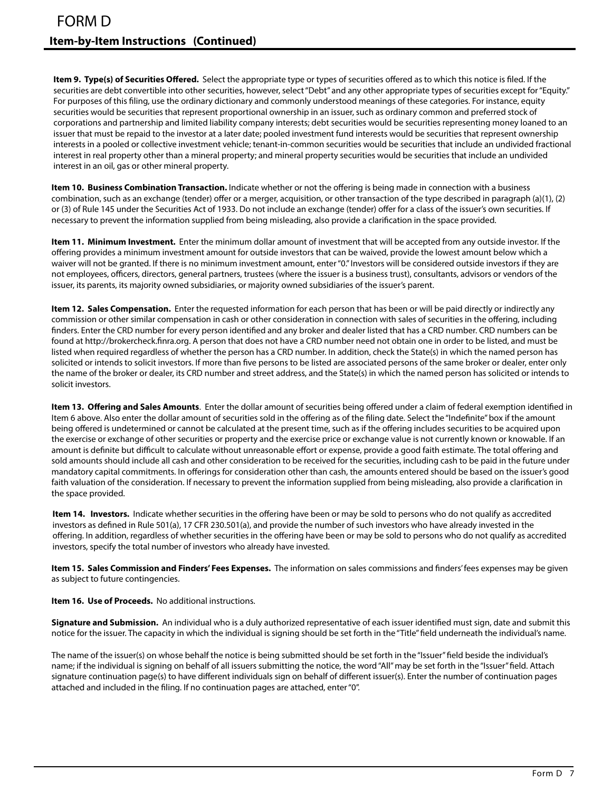**Item 9. Type(s) of Securities Offered.** Select the appropriate type or types of securities offered as to which this notice is filed. If the securities are debt convertible into other securities, however, select "Debt" and any other appropriate types of securities except for "Equity." For purposes of this filing, use the ordinary dictionary and commonly understood meanings of these categories. For instance, equity securities would be securities that represent proportional ownership in an issuer, such as ordinary common and preferred stock of corporations and partnership and limited liability company interests; debt securities would be securities representing money loaned to an issuer that must be repaid to the investor at a later date; pooled investment fund interests would be securities that represent ownership interests in a pooled or collective investment vehicle; tenant-in-common securities would be securities that include an undivided fractional interest in real property other than a mineral property; and mineral property securities would be securities that include an undivided interest in an oil, gas or other mineral property.

**Item 10. Business Combination Transaction.** Indicate whether or not the offering is being made in connection with a business combination, such as an exchange (tender) offer or a merger, acquisition, or other transaction of the type described in paragraph (a)(1), (2) or (3) of Rule 145 under the Securities Act of 1933. Do not include an exchange (tender) offer for a class of the issuer's own securities. If necessary to prevent the information supplied from being misleading, also provide a clarification in the space provided.

**Item 11. Minimum Investment.** Enter the minimum dollar amount of investment that will be accepted from any outside investor. If the offering provides a minimum investment amount for outside investors that can be waived, provide the lowest amount below which a waiver will not be granted. If there is no minimum investment amount, enter "0." Investors will be considered outside investors if they are not employees, officers, directors, general partners, trustees (where the issuer is a business trust), consultants, advisors or vendors of the issuer, its parents, its majority owned subsidiaries, or majority owned subsidiaries of the issuer's parent.

**Item 12. Sales Compensation.** Enter the requested information for each person that has been or will be paid directly or indirectly any commission or other similar compensation in cash or other consideration in connection with sales of securities in the offering, including finders. Enter the CRD number for every person identified and any broker and dealer listed that has a CRD number. CRD numbers can be [found at http://brokercheck.finra.org.](http://brokercheck.finra.org/) A person that does not have a CRD number need not obtain one in order to be listed, and must be listed when required regardless of whether the person has a CRD number. In addition, check the State(s) in which the named person has solicited or intends to solicit investors. If more than five persons to be listed are associated persons of the same broker or dealer, enter only the name of the broker or dealer, its CRD number and street address, and the State(s) in which the named person has solicited or intends to solicit investors.

**Item 13. Offering and Sales Amounts**. Enter the dollar amount of securities being offered under a claim of federal exemption identified in Item 6 above. Also enter the dollar amount of securities sold in the offering as of the filing date. Select the "Indefinite" box if the amount being offered is undetermined or cannot be calculated at the present time, such as if the offering includes securities to be acquired upon the exercise or exchange of other securities or property and the exercise price or exchange value is not currently known or knowable. If an amount is definite but difficult to calculate without unreasonable effort or expense, provide a good faith estimate. The total offering and sold amounts should include all cash and other consideration to be received for the securities, including cash to be paid in the future under mandatory capital commitments. In offerings for consideration other than cash, the amounts entered should be based on the issuer's good faith valuation of the consideration. If necessary to prevent the information supplied from being misleading, also provide a clarification in the space provided.

**Item 14. Investors.** Indicate whether securities in the offering have been or may be sold to persons who do not qualify as accredited investors as defined in Rule 501(a), 17 CFR 230.501(a), and provide the number of such investors who have already invested in the offering. In addition, regardless of whether securities in the offering have been or may be sold to persons who do not qualify as accredited investors, specify the total number of investors who already have invested.

**Item 15. Sales Commission and Finders' Fees Expenses.** The information on sales commissions and finders' fees expenses may be given as subject to future contingencies.

**Item 16. Use of Proceeds.** No additional instructions.

**Signature and Submission.** An individual who is a duly authorized representative of each issuer identified must sign, date and submit this notice for the issuer. The capacity in which the individual is signing should be set forth in the "Title" field underneath the individual's name.

The name of the issuer(s) on whose behalf the notice is being submitted should be set forth in the "Issuer" field beside the individual's name; if the individual is signing on behalf of all issuers submitting the notice, the word "All" may be set forth in the "Issuer" field. Attach signature continuation page(s) to have different individuals sign on behalf of different issuer(s). Enter the number of continuation pages attached and included in the filing. If no continuation pages are attached, enter "0".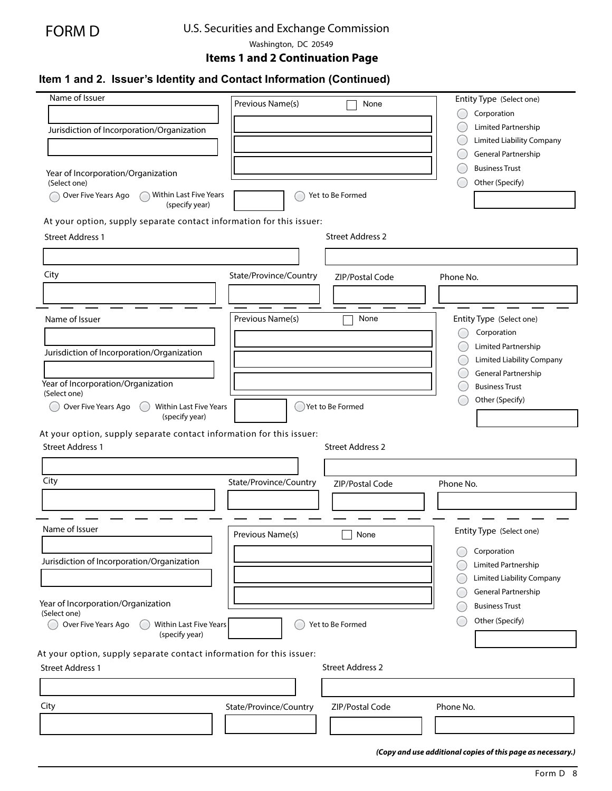# FORM D **U.S. Securities and Exchange Commission**

Washington, DC 20549

**Items 1 and 2 Continuation Page**

# **Item 1 and 2. Issuer's Identity and Contact Information (Continued)**

| Name of Issuer                                                       | Previous Name(s)<br>None                  | Entity Type (Select one)         |
|----------------------------------------------------------------------|-------------------------------------------|----------------------------------|
|                                                                      |                                           | Corporation                      |
| Jurisdiction of Incorporation/Organization                           |                                           | Limited Partnership              |
|                                                                      |                                           | Limited Liability Company        |
|                                                                      |                                           | General Partnership              |
| Year of Incorporation/Organization                                   |                                           | <b>Business Trust</b>            |
| (Select one)<br>Within Last Five Years<br>Over Five Years Ago        | Yet to Be Formed                          | Other (Specify)                  |
| (specify year)                                                       |                                           |                                  |
| At your option, supply separate contact information for this issuer: |                                           |                                  |
| <b>Street Address 1</b>                                              | <b>Street Address 2</b>                   |                                  |
|                                                                      |                                           |                                  |
| City                                                                 | State/Province/Country<br>ZIP/Postal Code | Phone No.                        |
|                                                                      |                                           |                                  |
| Name of Issuer                                                       | Previous Name(s)<br>None                  | Entity Type (Select one)         |
|                                                                      |                                           | Corporation                      |
| Jurisdiction of Incorporation/Organization                           |                                           | Limited Partnership              |
|                                                                      |                                           | <b>Limited Liability Company</b> |
|                                                                      |                                           | General Partnership              |
| Year of Incorporation/Organization<br>(Select one)                   |                                           | <b>Business Trust</b>            |
| Over Five Years Ago<br><b>Within Last Five Years</b>                 | Yet to Be Formed                          | Other (Specify)                  |
| (specify year)                                                       |                                           |                                  |
| At your option, supply separate contact information for this issuer: |                                           |                                  |
| <b>Street Address 1</b>                                              | <b>Street Address 2</b>                   |                                  |
|                                                                      |                                           |                                  |
| City                                                                 | State/Province/Country<br>ZIP/Postal Code | Phone No.                        |
|                                                                      |                                           |                                  |
|                                                                      |                                           |                                  |
| Name of Issuer                                                       |                                           |                                  |
|                                                                      | Previous Name(s)<br>$\Box$ None           | Entity Type (Select one)         |
|                                                                      |                                           | Corporation                      |
| Jurisdiction of Incorporation/Organization                           |                                           | Limited Partnership              |
|                                                                      |                                           | Limited Liability Company        |
|                                                                      |                                           | General Partnership              |
| Year of Incorporation/Organization<br>(Select one)                   |                                           | <b>Business Trust</b>            |
| Within Last Five Years<br>Over Five Years Ago                        | Yet to Be Formed                          | Other (Specify)                  |
| (specify year)                                                       |                                           |                                  |
| At your option, supply separate contact information for this issuer: |                                           |                                  |
| <b>Street Address 1</b>                                              | <b>Street Address 2</b>                   |                                  |
|                                                                      |                                           |                                  |
| City                                                                 | ZIP/Postal Code<br>State/Province/Country | Phone No.                        |
|                                                                      |                                           |                                  |
|                                                                      |                                           |                                  |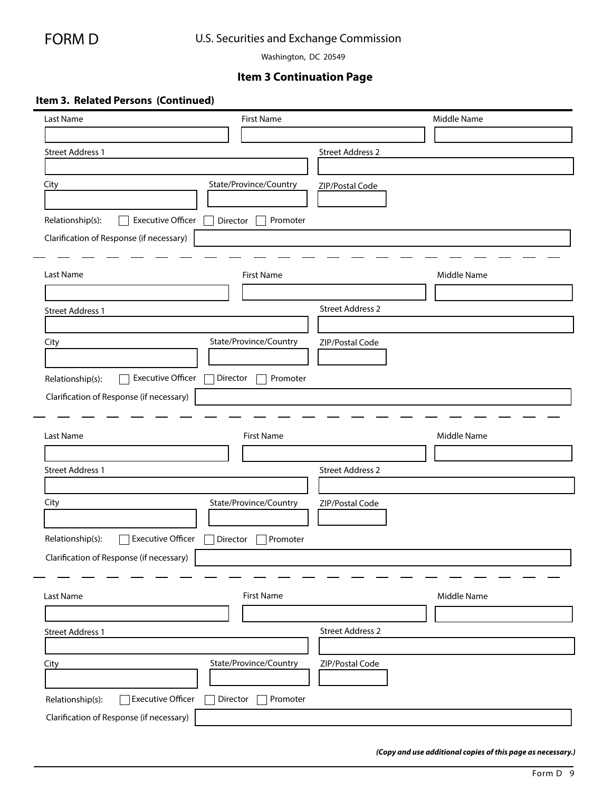

# FORM D **U.S. Securities and Exchange Commission**

Washington, DC 20549

#### **Item 3 Continuation Page**

#### **Item 3. Related Persons (Continued)**

| Last Name                                    | <b>First Name</b>      |                         | Middle Name |
|----------------------------------------------|------------------------|-------------------------|-------------|
|                                              |                        |                         |             |
| <b>Street Address 1</b>                      |                        | <b>Street Address 2</b> |             |
|                                              |                        |                         |             |
| City                                         | State/Province/Country | ZIP/Postal Code         |             |
|                                              |                        |                         |             |
| <b>Executive Officer</b><br>Relationship(s): | Promoter<br>Director   |                         |             |
| Clarification of Response (if necessary)     |                        |                         |             |
|                                              |                        |                         |             |
| Last Name                                    | <b>First Name</b>      |                         | Middle Name |
|                                              |                        |                         |             |
|                                              |                        | <b>Street Address 2</b> |             |
| <b>Street Address 1</b>                      |                        |                         |             |
|                                              |                        |                         |             |
| City                                         | State/Province/Country | ZIP/Postal Code         |             |
|                                              |                        |                         |             |
| <b>Executive Officer</b><br>Relationship(s): | Director<br>Promoter   |                         |             |
| Clarification of Response (if necessary)     |                        |                         |             |
|                                              |                        |                         |             |
|                                              |                        |                         |             |
| Last Name                                    | <b>First Name</b>      |                         | Middle Name |
|                                              |                        |                         |             |
| <b>Street Address 1</b>                      |                        | <b>Street Address 2</b> |             |
|                                              |                        |                         |             |
| City                                         | State/Province/Country | ZIP/Postal Code         |             |
|                                              |                        |                         |             |
|                                              |                        |                         |             |
| Relationship(s):<br><b>Executive Officer</b> | Director<br>Promoter   |                         |             |
| Clarification of Response (if necessary)     |                        |                         |             |
|                                              |                        |                         |             |
| Last Name                                    | <b>First Name</b>      |                         | Middle Name |
|                                              |                        |                         |             |
| <b>Street Address 1</b>                      |                        | <b>Street Address 2</b> |             |
|                                              |                        |                         |             |
| City                                         | State/Province/Country | ZIP/Postal Code         |             |
|                                              |                        |                         |             |
| <b>Executive Officer</b><br>Relationship(s): | Director<br>Promoter   |                         |             |

*(Copy and use additional copies of this page as necessary.)*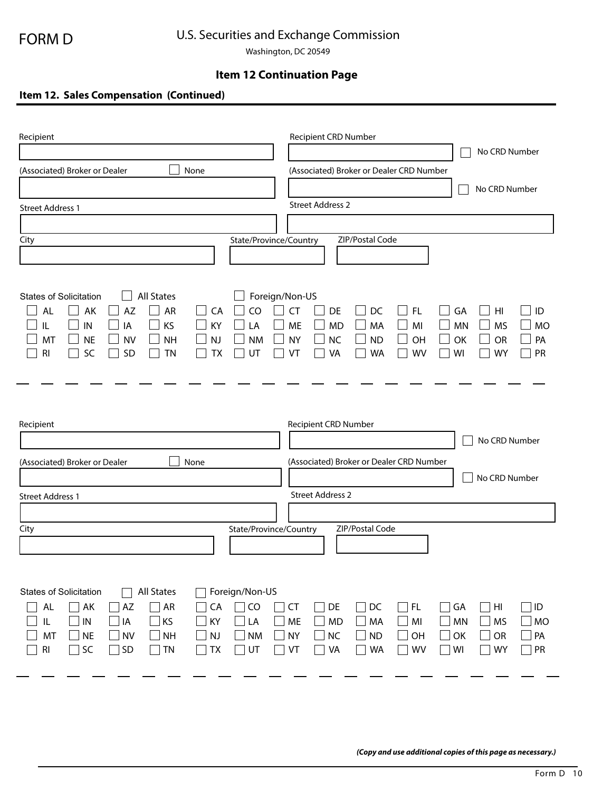# FORM D **U.S. Securities and Exchange Commission**

Washington, DC 20549

## **Item 12 Continuation Page**

## **Item 12. Sales Compensation (Continued)**

| Recipient                                                                                                                                                                                                                                                                                                                                   | <b>Recipient CRD Number</b><br>No CRD Number                                                                                                                                                                                                                                                                                                                                        |
|---------------------------------------------------------------------------------------------------------------------------------------------------------------------------------------------------------------------------------------------------------------------------------------------------------------------------------------------|-------------------------------------------------------------------------------------------------------------------------------------------------------------------------------------------------------------------------------------------------------------------------------------------------------------------------------------------------------------------------------------|
| (Associated) Broker or Dealer<br>None                                                                                                                                                                                                                                                                                                       | (Associated) Broker or Dealer CRD Number<br>No CRD Number                                                                                                                                                                                                                                                                                                                           |
| <b>Street Address 1</b>                                                                                                                                                                                                                                                                                                                     | <b>Street Address 2</b>                                                                                                                                                                                                                                                                                                                                                             |
| City<br>State/Province/Country                                                                                                                                                                                                                                                                                                              | ZIP/Postal Code                                                                                                                                                                                                                                                                                                                                                                     |
| <b>All States</b><br><b>States of Solicitation</b><br>AL<br>AZ<br><b>AR</b><br>CO<br>AK<br>CA<br>KS<br>LA<br>IL<br>IN<br>IA<br>KY<br>MT<br><b>NE</b><br><b>NV</b><br><b>NH</b><br><b>NM</b><br><b>NJ</b><br>SC<br>SD<br>UT<br>R <sub>l</sub><br><b>TN</b><br><b>TX</b>                                                                      | Foreign/Non-US<br>DC<br>FL<br>GA<br>HI<br>ID<br><b>CT</b><br>DE<br><b>ME</b><br>MI<br><b>MN</b><br><b>MS</b><br><b>MD</b><br>MA<br><b>MO</b><br><b>NY</b><br><b>NC</b><br><b>ND</b><br>OH<br>OK<br>OR<br>PA<br>VT<br>VA<br><b>WA</b><br><b>WV</b><br>WI<br><b>WY</b><br>PR                                                                                                          |
| Recipient<br>(Associated) Broker or Dealer<br>None                                                                                                                                                                                                                                                                                          | <b>Recipient CRD Number</b><br>No CRD Number<br>(Associated) Broker or Dealer CRD Number                                                                                                                                                                                                                                                                                            |
| <b>Street Address 1</b>                                                                                                                                                                                                                                                                                                                     | No CRD Number<br><b>Street Address 2</b>                                                                                                                                                                                                                                                                                                                                            |
|                                                                                                                                                                                                                                                                                                                                             |                                                                                                                                                                                                                                                                                                                                                                                     |
| City<br>State/Province/Country                                                                                                                                                                                                                                                                                                              | ZIP/Postal Code                                                                                                                                                                                                                                                                                                                                                                     |
| <b>All States</b><br>Foreign/Non-US<br><b>States of Solicitation</b><br><b>AL</b><br>AK<br>$\Box$ AR<br>$\Box$ CO<br>AZ<br>CA<br>$\mathcal{L}$<br>IL<br>IA<br>$\Box$ KS<br>KY<br>$\Box$ LA<br>IN<br>MT<br><b>NM</b><br><b>NE</b><br><b>NV</b><br>$\Box$ NH<br>NJ<br>$\blacksquare$<br>SD<br>RI<br>SC<br><b>TX</b><br>$\Box$ UT<br>$\Box$ TN | $\mathsf{FL}$<br>GA<br>$\mathsf{HI}$<br>CT<br>DE<br>DC<br>ID<br>$\sim$<br>$\blacksquare$<br>$\mathbf{L}$<br>ME<br><b>MD</b><br>MA<br>MI<br><b>MN</b><br><b>MS</b><br><b>MO</b><br>$\sim$<br>$\Box$<br>$\sim$<br><b>NY</b><br>OK<br>OR<br>PA<br><b>ND</b><br>OH<br><b>NC</b><br>$\perp$<br>VT<br><b>WV</b><br>$\Box$ WI<br><b>WY</b><br>PR<br>VA<br><b>WA</b><br>×<br>$\blacksquare$ |